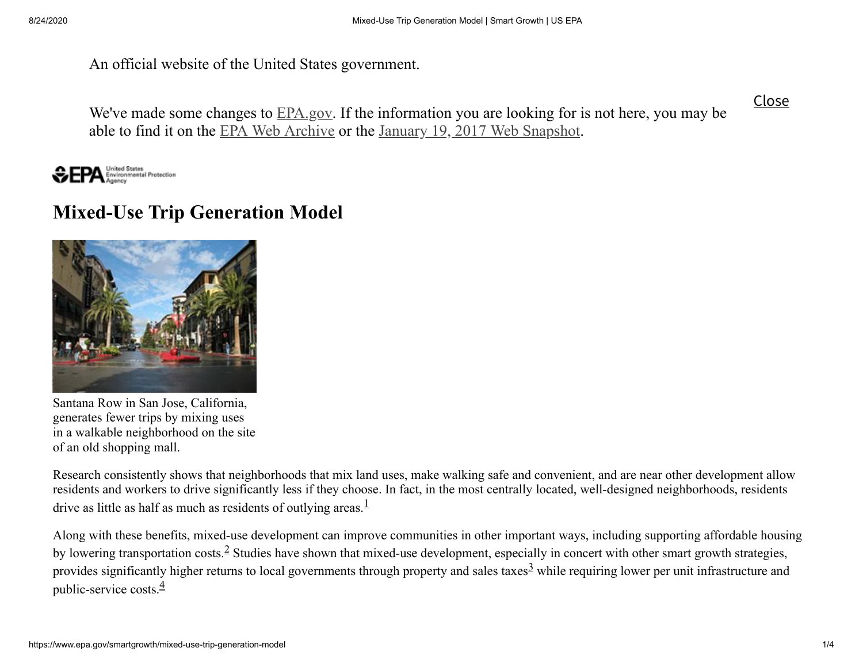An official website of the United States government.

We've made some changes to **[EPA.gov](https://www.epa.gov/).** If the information you are looking for is not here, you may be able to find it on the EPA Web [Archive](https://archive.epa.gov/) or the January 19, 2017 Web [Snapshot](https://19january2017snapshot.epa.gov/). Close

United States<br>Environmental Protection

## **Mixed-Use Trip Generation Model**



Santana Row in San Jose, California, generates fewer trips by mixing uses in a walkable neighborhood on the site of an old shopping mall.

Research consistently shows that neighborhoods that mix land uses, make walking safe and convenient, and are near other development allow residents and workers to drive significantly less if they choose. In fact, in the most centrally located, well-designed neighborhoods, residents drive as little as half as much as residents of outlying areas. $\frac{1}{1}$  $\frac{1}{1}$  $\frac{1}{1}$ 

Along with these benefits, mixed-use development can improve communities in other important ways, including supporting affordable housing by lowering transportation costs.<sup>[2](#page-3-1)</sup> Studies have shown that mixed-use development, especially in concert with other smart growth strategies, provides significantly higher returns to local governments through property and sales taxes<sup>[3](#page-3-2)</sup> while requiring lower per unit infrastructure and public-service costs. $\frac{4}{3}$  $\frac{4}{3}$  $\frac{4}{3}$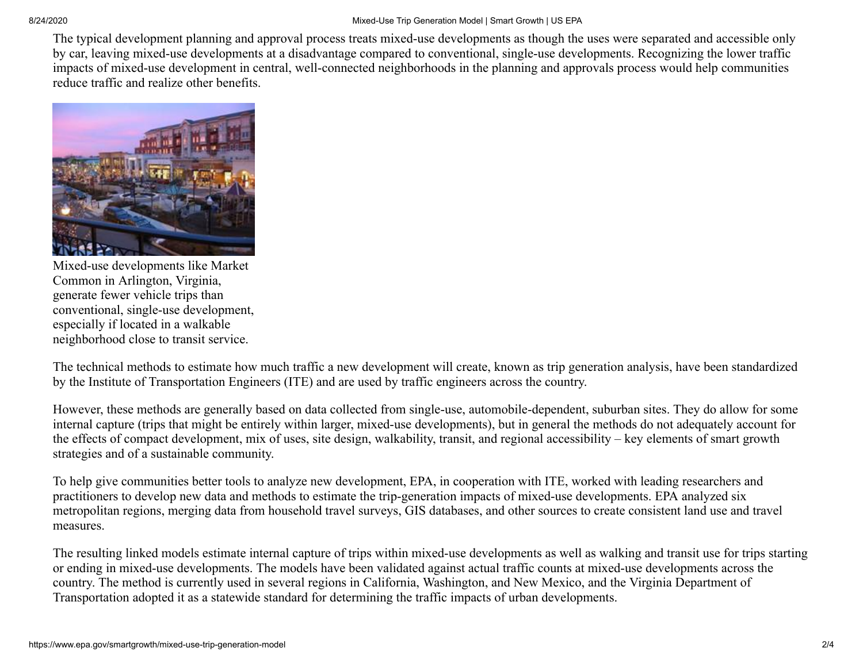The typical development planning and approval process treats mixed-use developments as though the uses were separated and accessible only by car, leaving mixed-use developments at a disadvantage compared to conventional, single-use developments. Recognizing the lower traffic impacts of mixed-use development in central, well-connected neighborhoods in the planning and approvals process would help communities reduce traffic and realize other benefits.



Mixed-use developments like Market Common in Arlington, Virginia, generate fewer vehicle trips than conventional, single-use development, especially if located in a walkable neighborhood close to transit service.

The technical methods to estimate how much traffic a new development will create, known as trip generation analysis, have been standardized by the Institute of Transportation Engineers (ITE) and are used by traffic engineers across the country.

However, these methods are generally based on data collected from single-use, automobile-dependent, suburban sites. They do allow for some internal capture (trips that might be entirely within larger, mixed-use developments), but in general the methods do not adequately account for the effects of compact development, mix of uses, site design, walkability, transit, and regional accessibility – key elements of smart growth strategies and of a sustainable community.

To help give communities better tools to analyze new development, EPA, in cooperation with ITE, worked with leading researchers and practitioners to develop new data and methods to estimate the trip-generation impacts of mixed-use developments. EPA analyzed six metropolitan regions, merging data from household travel surveys, GIS databases, and other sources to create consistent land use and travel measures.

The resulting linked models estimate internal capture of trips within mixed-use developments as well as walking and transit use for trips starting or ending in mixed-use developments. The models have been validated against actual traffic counts at mixed-use developments across the country. The method is currently used in several regions in California, Washington, and New Mexico, and the Virginia Department of Transportation adopted it as a statewide standard for determining the traffic impacts of urban developments.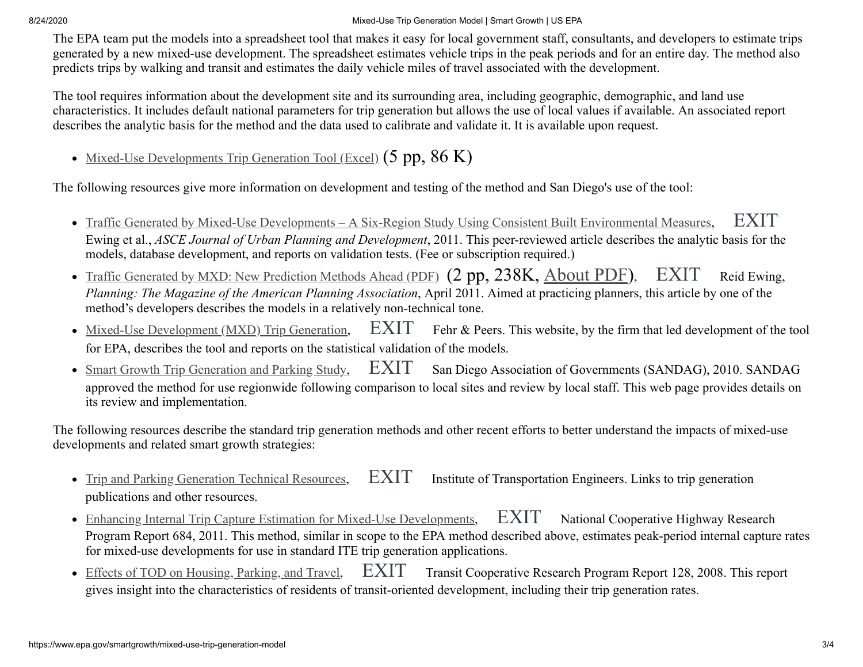8/24/2020 Mixed-Use Trip Generation Model | Smart Growth | US EPA

The EPA team put the models into a spreadsheet tool that makes it easy for local government staff, consultants, and developers to estimate trips generated by a new mixed-use development. The spreadsheet estimates vehicle trips in the peak periods and for an entire day. The method also predicts trips by walking and transit and estimates the daily vehicle miles of travel associated with the development.

The tool requires information about the development site and its surrounding area, including geographic, demographic, and land use characteristics. It includes default national parameters for trip generation but allows the use of local values if available. An associated report describes the analytic basis for the method and the data used to calibrate and validate it. It is available upon request.

• [Mixed-Use Developments Trip Generation Tool \(Excel\)](https://www.epa.gov/sites/production/files/2014-07/mxd_trip_generation_model.xlsx)  $(5 pp, 86 K)$ 

The following resources give more information on development and testing of the method and San Diego's use of the tool:

- [Traffic Generated by Mixed-Use Developments A Six-Region Study Using Consistent Built Environmental Measures,](https://ascelibrary.org/doi/10.1061/%28ASCE%29UP.1943-5444.0000068) [EXIT](https://www.epa.gov/home/exit-epa) Ewing et al., *ASCE Journal of Urban Planning and Development*, 2011. This peer-reviewed article describes the analytic basis for the models, database development, and reports on validation tests. (Fee or subscription required.)
- [Traffic Generated by MXD: New Prediction Methods Ahead \(PDF\)](http://www.arch.utah.edu/cgi-bin/wordpress-metroresearch/wp-content/uploads/2012/publications/researchyoucanuse/Research_Apr11.pdf) (2 pp, 238K, <u>About PDF</u>), [EXIT](https://www.epa.gov/home/exit-epa) Reid Ewing, *Planning: The Magazine of the American Planning Association*, April 2011. Aimed at practicing planners, this article by one of the method's developers describes the models in a relatively non-technical tone.
- $Mixed-Use Development (MXD) Trip Generation,$  $Mixed-Use Development (MXD) Trip Generation,$   $EXIT$  Fehr & Peers. This website, by the firm that led development of the tool for EPA, describes the tool and reports on the statistical validation of the models.
- [EXIT](https://www.epa.gov/home/exit-epa) San Diego Association of Governments (SANDAG), 2010. SANDAG approved the method for use regionwide following comparison to local sites and review by local staff. This web page provides details on its review and implementation. • Smart Growth Trip Generation and Parking Study,

The following resources describe the standard trip generation methods and other recent efforts to better understand the impacts of mixed-use developments and related smart growth strategies:

- [EXIT](https://www.epa.gov/home/exit-epa) Institute of Transportation Engineers. Links to trip generation publications and other resources. • Trip and Parking Generation Technical Resources,
- [Enhancing Internal Trip Capture Estimation for Mixed-Use Developments,](http://www.trb.org/Main/Blurbs/Enhancing_Internal_Trip_Capture_Estimation_for_Mix_165014.aspx) [EXIT](https://www.epa.gov/home/exit-epa) National Cooperative Highway Research Program Report 684, 2011. This method, similar in scope to the EPA method described above, estimates peak-period internal capture rates for mixed-use developments for use in standard ITE trip generation applications.
- $\text{EXIT}$  $\text{EXIT}$  $\text{EXIT}$  Transit Cooperative Research Program Report 128, 2008. This report gives insight into the characteristics of residents of transit-oriented development, including their trip generation rates. • Effects of TOD on Housing, Parking, and Travel,